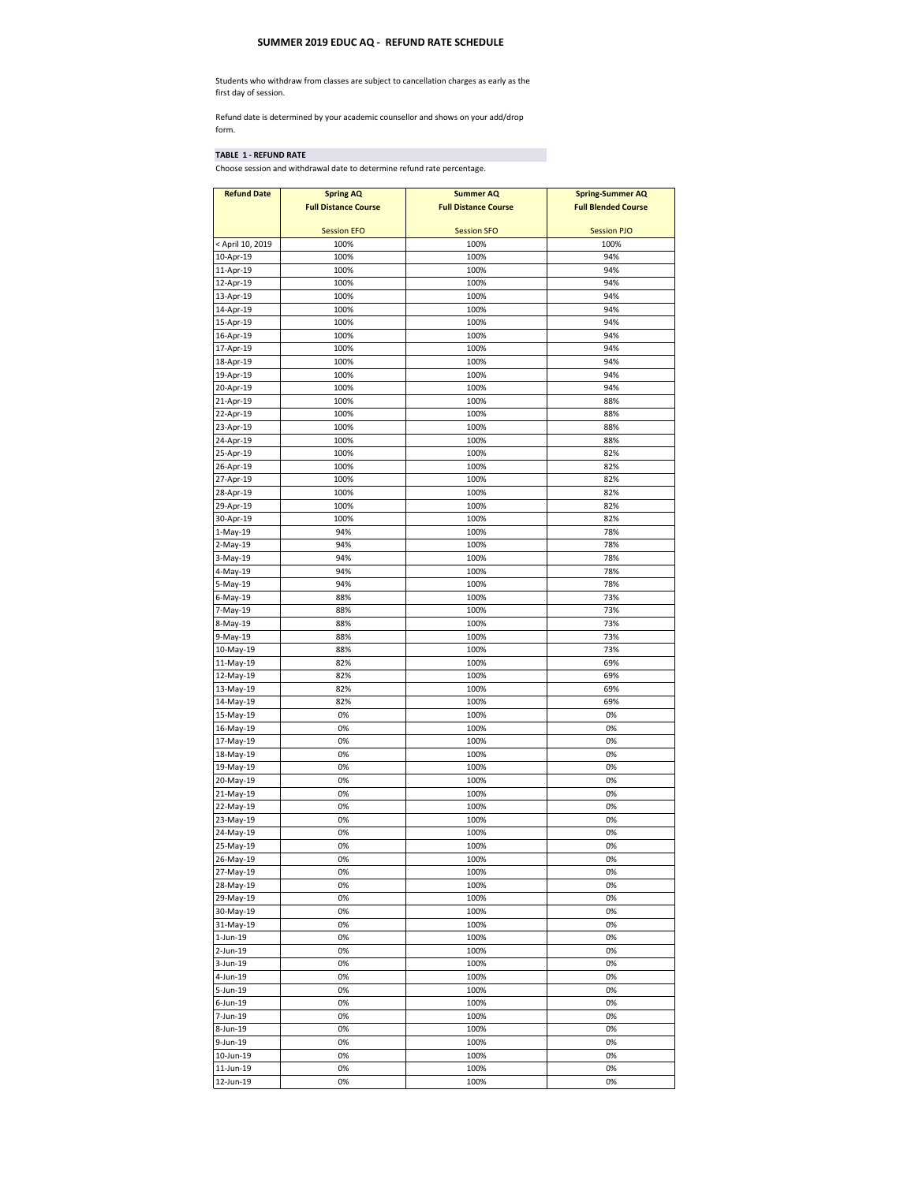## **SUMMER 2019 EDUC AQ - REFUND RATE SCHEDULE**

Students who withdraw from classes are subject to cancellation charges as early as the first day of session.

Refund date is determined by your academic counsellor and shows on your add/drop form.

## **TABLE 1 - REFUND RATE**

Choose session and withdrawal date to determine refund rate percentage.

| <b>Refund Date</b>            | <b>Spring AQ</b>            | <b>Summer AQ</b>            | <b>Spring-Summer AQ</b>    |
|-------------------------------|-----------------------------|-----------------------------|----------------------------|
|                               | <b>Full Distance Course</b> | <b>Full Distance Course</b> | <b>Full Blended Course</b> |
|                               |                             |                             |                            |
|                               | <b>Session EFO</b>          | <b>Session SFO</b>          | <b>Session PJO</b>         |
| < April 10, 2019<br>10-Apr-19 | 100%<br>100%                | 100%<br>100%                | 100%<br>94%                |
| 11-Apr-19                     | 100%                        | 100%                        | 94%                        |
| 12-Apr-19                     | 100%                        | 100%                        | 94%                        |
| 13-Apr-19                     | 100%                        | 100%                        | 94%                        |
| 14-Apr-19                     | 100%                        | 100%                        | 94%                        |
| 15-Apr-19                     | 100%                        | 100%                        | 94%                        |
| 16-Apr-19                     | 100%                        | 100%                        | 94%                        |
| 17-Apr-19                     | 100%                        | 100%                        | 94%                        |
| 18-Apr-19                     | 100%                        | 100%                        | 94%                        |
| 19-Apr-19                     | 100%                        | 100%<br>100%                | 94%                        |
| 20-Apr-19<br>21-Apr-19        | 100%<br>100%                | 100%                        | 94%<br>88%                 |
| 22-Apr-19                     | 100%                        | 100%                        | 88%                        |
| 23-Apr-19                     | 100%                        | 100%                        | 88%                        |
| 24-Apr-19                     | 100%                        | 100%                        | 88%                        |
| 25-Apr-19                     | 100%                        | 100%                        | 82%                        |
| 26-Apr-19                     | 100%                        | 100%                        | 82%                        |
| 27-Apr-19                     | 100%                        | 100%                        | 82%                        |
| 28-Apr-19                     | 100%                        | 100%                        | 82%                        |
| 29-Apr-19                     | 100%                        | 100%                        | 82%                        |
| 30-Apr-19                     | 100%                        | 100%                        | 82%                        |
| 1-May-19<br>2-May-19          | 94%<br>94%                  | 100%<br>100%                | 78%<br>78%                 |
| 3-May-19                      | 94%                         | 100%                        | 78%                        |
| 4-May-19                      | 94%                         | 100%                        | 78%                        |
| 5-May-19                      | 94%                         | 100%                        | 78%                        |
| 6-May-19                      | 88%                         | 100%                        | 73%                        |
| 7-May-19                      | 88%                         | 100%                        | 73%                        |
| 8-May-19                      | 88%                         | 100%                        | 73%                        |
| 9-May-19                      | 88%                         | 100%                        | 73%                        |
| 10-May-19                     | 88%                         | 100%                        | 73%                        |
| 11-May-19                     | 82%                         | 100%                        | 69%                        |
| 12-May-19<br>13-May-19        | 82%<br>82%                  | 100%<br>100%                | 69%<br>69%                 |
| 14-May-19                     | 82%                         | 100%                        | 69%                        |
| 15-May-19                     | 0%                          | 100%                        | 0%                         |
| 16-May-19                     | 0%                          | 100%                        | 0%                         |
| 17-May-19                     | 0%                          | 100%                        | 0%                         |
| 18-May-19                     | 0%                          | 100%                        | 0%                         |
| 19-May-19                     | 0%                          | 100%                        | 0%                         |
| 20-May-19                     | 0%                          | 100%                        | 0%                         |
| 21-May-19                     | 0%                          | 100%                        | 0%                         |
| 22-May-19<br>23-May-19        | 0%                          | 100%                        | 0%<br>0%                   |
| 24-May-19                     | 0%<br>0%                    | 100%<br>100%                | 0%                         |
| 25-May-19                     | 0%                          | 100%                        | 0%                         |
| 26-May-19                     | $0\%$                       | 100%                        | <b>U%</b>                  |
| 27-May-19                     | 0%                          | 100%                        | 0%                         |
| 28-May-19                     | 0%                          | 100%                        | 0%                         |
| 29-May-19                     | 0%                          | 100%                        | 0%                         |
| 30-May-19                     | 0%                          | 100%                        | 0%                         |
| 31-May-19                     | 0%                          | 100%                        | 0%                         |
| 1-Jun-19                      | 0%                          | 100%                        | 0%                         |
| 2-Jun-19<br>3-Jun-19          | 0%<br>0%                    | 100%<br>100%                | 0%<br>0%                   |
| 4-Jun-19                      | 0%                          | 100%                        | 0%                         |
| 5-Jun-19                      | 0%                          | 100%                        | 0%                         |
| 6-Jun-19                      | 0%                          | 100%                        | 0%                         |
| 7-Jun-19                      | 0%                          | 100%                        | 0%                         |
| 8-Jun-19                      | 0%                          | 100%                        | 0%                         |
| 9-Jun-19                      | 0%                          | 100%                        | 0%                         |
| 10-Jun-19                     | 0%                          | 100%                        | 0%                         |
| 11-Jun-19                     | 0%                          | 100%                        | 0%                         |
| 12-Jun-19                     | 0%                          | 100%                        | 0%                         |